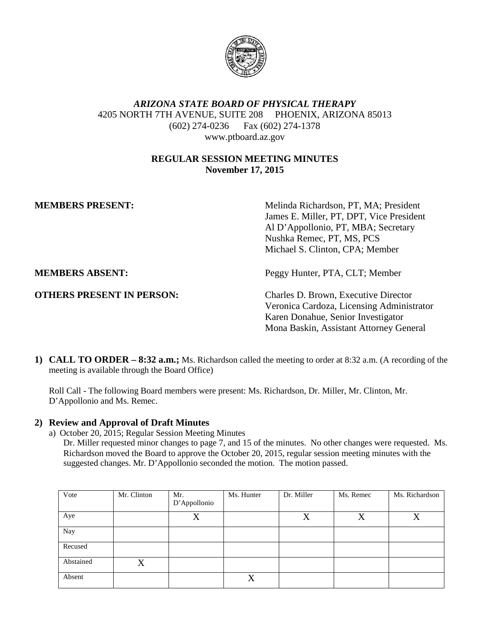

# *ARIZONA STATE BOARD OF PHYSICAL THERAPY* 4205 NORTH 7TH AVENUE, SUITE 208 PHOENIX, ARIZONA 85013 (602) 274-0236 Fax (602) 274-1378 www.ptboard.az.gov

## **REGULAR SESSION MEETING MINUTES November 17, 2015**

**MEMBERS PRESENT:** Melinda Richardson, PT, MA: President James E. Miller, PT, DPT, Vice President Al D'Appollonio, PT, MBA; Secretary Nushka Remec, PT, MS, PCS Michael S. Clinton, CPA; Member

**MEMBERS ABSENT:** Peggy Hunter, PTA, CLT; Member

**OTHERS PRESENT IN PERSON:** Charles D. Brown, Executive Director Veronica Cardoza, Licensing Administrator Karen Donahue, Senior Investigator Mona Baskin, Assistant Attorney General

**1) CALL TO ORDER – 8:32 a.m.;** Ms. Richardson called the meeting to order at 8:32 a.m. (A recording of the meeting is available through the Board Office)

Roll Call - The following Board members were present: Ms. Richardson, Dr. Miller, Mr. Clinton, Mr. D'Appollonio and Ms. Remec.

## **2) Review and Approval of Draft Minutes**

a) October 20, 2015; Regular Session Meeting Minutes

Dr. Miller requested minor changes to page 7, and 15 of the minutes. No other changes were requested. Ms. Richardson moved the Board to approve the October 20, 2015, regular session meeting minutes with the suggested changes. Mr. D'Appollonio seconded the motion. The motion passed.

| Vote      | Mr. Clinton | Mr.          | Ms. Hunter | Dr. Miller | Ms. Remec | Ms. Richardson |
|-----------|-------------|--------------|------------|------------|-----------|----------------|
|           |             | D'Appollonio |            |            |           |                |
| Aye       |             | X            |            | X          | X         | X              |
| Nay       |             |              |            |            |           |                |
| Recused   |             |              |            |            |           |                |
| Abstained | X           |              |            |            |           |                |
| Absent    |             |              | X          |            |           |                |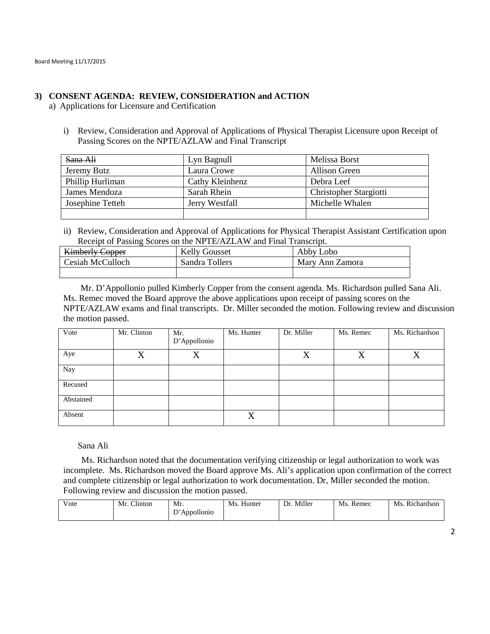### **3) CONSENT AGENDA: REVIEW, CONSIDERATION and ACTION**

a) Applications for Licensure and Certification

i) Review, Consideration and Approval of Applications of Physical Therapist Licensure upon Receipt of Passing Scores on the NPTE/AZLAW and Final Transcript

| Sana Ali         | Lyn Bagnull     | Melissa Borst          |
|------------------|-----------------|------------------------|
| Jeremy Butz      | Laura Crowe     | <b>Allison Green</b>   |
| Phillip Hurliman | Cathy Kleinhenz | Debra Leef             |
| James Mendoza    | Sarah Rhein     | Christopher Stargiotti |
| Josephine Tetteh | Jerry Westfall  | Michelle Whalen        |
|                  |                 |                        |

ii) Review, Consideration and Approval of Applications for Physical Therapist Assistant Certification upon Receipt of Passing Scores on the NPTE/AZLAW and Final Transcript.

| <b>Kimberly Copper</b> | <b>Kelly Gousset</b> | Abby Lobo       |
|------------------------|----------------------|-----------------|
| Cesiah McCulloch       | Sandra Tollers       | Mary Ann Zamora |
|                        |                      |                 |

Mr. D'Appollonio pulled Kimberly Copper from the consent agenda. Ms. Richardson pulled Sana Ali. Ms. Remec moved the Board approve the above applications upon receipt of passing scores on the NPTE/AZLAW exams and final transcripts. Dr. Miller seconded the motion. Following review and discussion the motion passed.

| Vote      | Mr. Clinton | Mr.          | Ms. Hunter | Dr. Miller | Ms. Remec | Ms. Richardson |
|-----------|-------------|--------------|------------|------------|-----------|----------------|
|           |             | D'Appollonio |            |            |           |                |
| Aye       | X           | X            |            | $\rm X$    | X         | $\rm X$        |
| Nay       |             |              |            |            |           |                |
| Recused   |             |              |            |            |           |                |
| Abstained |             |              |            |            |           |                |
| Absent    |             |              | X          |            |           |                |

Sana Ali

Ms. Richardson noted that the documentation verifying citizenship or legal authorization to work was incomplete. Ms. Richardson moved the Board approve Ms. Ali's application upon confirmation of the correct and complete citizenship or legal authorization to work documentation. Dr, Miller seconded the motion. Following review and discussion the motion passed.

| v ote | $\sim$ .<br>Mr<br>linton | Mr.<br>r,      | M.<br>Hunter | Miller<br>Dr | Mс<br>Remec | $\sim$ .<br>Ms<br><b>Richardson</b> |
|-------|--------------------------|----------------|--------------|--------------|-------------|-------------------------------------|
|       |                          | Appollonio<br> |              |              |             |                                     |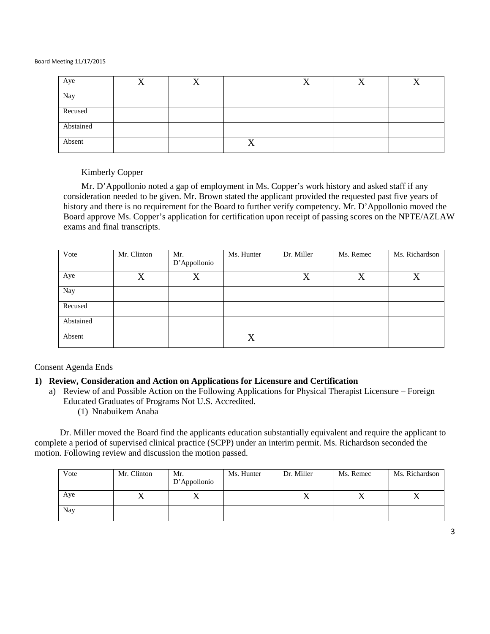| Aye       | Δ |   | $\mathbf{r}$ |  |
|-----------|---|---|--------------|--|
| Nay       |   |   |              |  |
| Recused   |   |   |              |  |
| Abstained |   |   |              |  |
| Absent    |   | ∡ |              |  |

Kimberly Copper

Mr. D'Appollonio noted a gap of employment in Ms. Copper's work history and asked staff if any consideration needed to be given. Mr. Brown stated the applicant provided the requested past five years of history and there is no requirement for the Board to further verify competency. Mr. D'Appollonio moved the Board approve Ms. Copper's application for certification upon receipt of passing scores on the NPTE/AZLAW exams and final transcripts.

| Vote      | Mr. Clinton | Mr.<br>D'Appollonio | Ms. Hunter | Dr. Miller | Ms. Remec | Ms. Richardson |
|-----------|-------------|---------------------|------------|------------|-----------|----------------|
| Aye       | X           | X                   |            | X          | X         | X              |
| Nay       |             |                     |            |            |           |                |
| Recused   |             |                     |            |            |           |                |
| Abstained |             |                     |            |            |           |                |
| Absent    |             |                     | X          |            |           |                |

Consent Agenda Ends

## **1) Review, Consideration and Action on Applications for Licensure and Certification**

- a) Review of and Possible Action on the Following Applications for Physical Therapist Licensure Foreign Educated Graduates of Programs Not U.S. Accredited.
	- (1) Nnabuikem Anaba

Dr. Miller moved the Board find the applicants education substantially equivalent and require the applicant to complete a period of supervised clinical practice (SCPP) under an interim permit. Ms. Richardson seconded the motion. Following review and discussion the motion passed.

| Vote | Mr. Clinton | Mr.<br>D'Appollonio     | Ms. Hunter | Dr. Miller | Ms. Remec | Ms. Richardson |
|------|-------------|-------------------------|------------|------------|-----------|----------------|
| Aye  | ∡⊾          | $\overline{\mathbf{v}}$ |            | ∡          |           | ∡⊾             |
| Nay  |             |                         |            |            |           |                |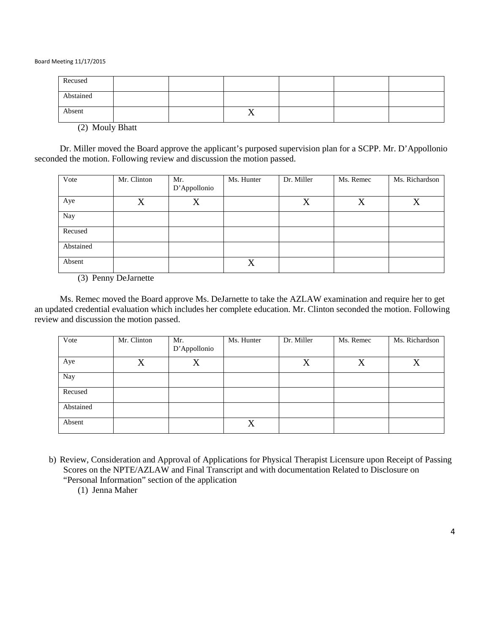| Recused                                                                                                                         |  |                |  |  |
|---------------------------------------------------------------------------------------------------------------------------------|--|----------------|--|--|
| Abstained                                                                                                                       |  |                |  |  |
| <u> Termin a shekara ta 1989 a Tanzania a Tanzania a Tanzania a Tanzania a Tanzania a Tanzania a Tanzania a Tanza</u><br>Absent |  | $\overline{A}$ |  |  |

(2) Mouly Bhatt

Dr. Miller moved the Board approve the applicant's purposed supervision plan for a SCPP. Mr. D'Appollonio seconded the motion. Following review and discussion the motion passed.

| Vote      | Mr. Clinton | Mr.<br>D'Appollonio | Ms. Hunter | Dr. Miller | Ms. Remec | Ms. Richardson |
|-----------|-------------|---------------------|------------|------------|-----------|----------------|
| Aye       | $\rm X$     | $\rm X$             |            | X          | X         | X              |
| Nay       |             |                     |            |            |           |                |
| Recused   |             |                     |            |            |           |                |
| Abstained |             |                     |            |            |           |                |
| Absent    |             |                     | X          |            |           |                |

(3) Penny DeJarnette

Ms. Remec moved the Board approve Ms. DeJarnette to take the AZLAW examination and require her to get an updated credential evaluation which includes her complete education. Mr. Clinton seconded the motion. Following review and discussion the motion passed.

| Vote      | Mr. Clinton | Mr.<br>D'Appollonio | Ms. Hunter | Dr. Miller | Ms. Remec | Ms. Richardson |
|-----------|-------------|---------------------|------------|------------|-----------|----------------|
| Aye       | X           | X                   |            | X          | X         | X              |
| Nay       |             |                     |            |            |           |                |
| Recused   |             |                     |            |            |           |                |
| Abstained |             |                     |            |            |           |                |
| Absent    |             |                     | X          |            |           |                |

b) Review, Consideration and Approval of Applications for Physical Therapist Licensure upon Receipt of Passing Scores on the NPTE/AZLAW and Final Transcript and with documentation Related to Disclosure on "Personal Information" section of the application

(1) Jenna Maher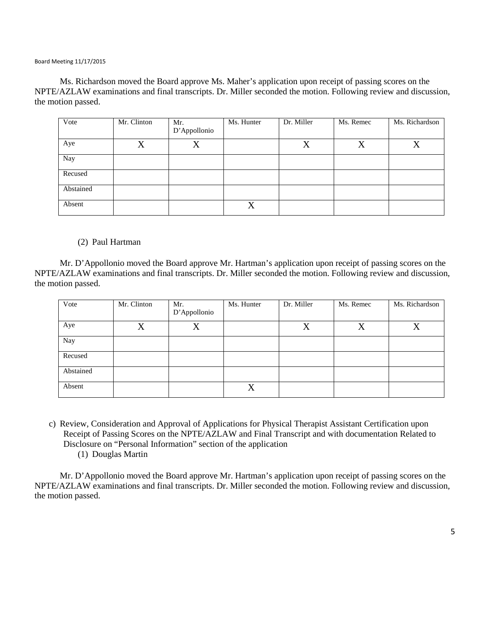Ms. Richardson moved the Board approve Ms. Maher's application upon receipt of passing scores on the NPTE/AZLAW examinations and final transcripts. Dr. Miller seconded the motion. Following review and discussion, the motion passed.

| Vote      | Mr. Clinton | Mr.<br>D'Appollonio | Ms. Hunter | Dr. Miller | Ms. Remec | Ms. Richardson |
|-----------|-------------|---------------------|------------|------------|-----------|----------------|
| Aye       | X           | X                   |            | X          | X         | v              |
| Nay       |             |                     |            |            |           |                |
| Recused   |             |                     |            |            |           |                |
| Abstained |             |                     |            |            |           |                |
| Absent    |             |                     | X          |            |           |                |

(2) Paul Hartman

Mr. D'Appollonio moved the Board approve Mr. Hartman's application upon receipt of passing scores on the NPTE/AZLAW examinations and final transcripts. Dr. Miller seconded the motion. Following review and discussion, the motion passed.

| Vote      | Mr. Clinton | Mr.<br>D'Appollonio | Ms. Hunter | Dr. Miller | Ms. Remec | Ms. Richardson    |
|-----------|-------------|---------------------|------------|------------|-----------|-------------------|
| Aye       | X           | X                   |            | $\rm X$    | X         | $\rm\overline{X}$ |
| Nay       |             |                     |            |            |           |                   |
| Recused   |             |                     |            |            |           |                   |
| Abstained |             |                     |            |            |           |                   |
| Absent    |             |                     | X          |            |           |                   |

c) Review, Consideration and Approval of Applications for Physical Therapist Assistant Certification upon Receipt of Passing Scores on the NPTE/AZLAW and Final Transcript and with documentation Related to Disclosure on "Personal Information" section of the application (1) Douglas Martin

Mr. D'Appollonio moved the Board approve Mr. Hartman's application upon receipt of passing scores on the NPTE/AZLAW examinations and final transcripts. Dr. Miller seconded the motion. Following review and discussion, the motion passed.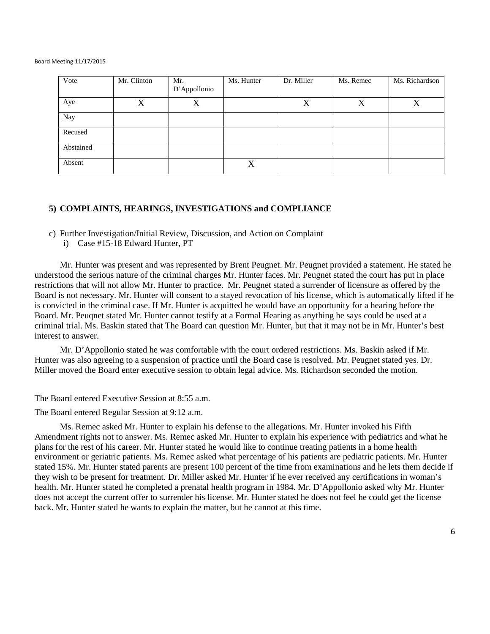| Vote      | Mr. Clinton       | Mr.<br>D'Appollonio | Ms. Hunter | Dr. Miller | Ms. Remec | Ms. Richardson |
|-----------|-------------------|---------------------|------------|------------|-----------|----------------|
| Aye       | $\rm\overline{X}$ | X                   |            | X          | X         | v              |
| Nay       |                   |                     |            |            |           |                |
| Recused   |                   |                     |            |            |           |                |
| Abstained |                   |                     |            |            |           |                |
| Absent    |                   |                     | X          |            |           |                |

### **5) COMPLAINTS, HEARINGS, INVESTIGATIONS and COMPLIANCE**

c) Further Investigation/Initial Review, Discussion, and Action on Complaint

i) Case #15-18 Edward Hunter, PT

Mr. Hunter was present and was represented by Brent Peugnet. Mr. Peugnet provided a statement. He stated he understood the serious nature of the criminal charges Mr. Hunter faces. Mr. Peugnet stated the court has put in place restrictions that will not allow Mr. Hunter to practice. Mr. Peugnet stated a surrender of licensure as offered by the Board is not necessary. Mr. Hunter will consent to a stayed revocation of his license, which is automatically lifted if he is convicted in the criminal case. If Mr. Hunter is acquitted he would have an opportunity for a hearing before the Board. Mr. Peuqnet stated Mr. Hunter cannot testify at a Formal Hearing as anything he says could be used at a criminal trial. Ms. Baskin stated that The Board can question Mr. Hunter, but that it may not be in Mr. Hunter's best interest to answer.

Mr. D'Appollonio stated he was comfortable with the court ordered restrictions. Ms. Baskin asked if Mr. Hunter was also agreeing to a suspension of practice until the Board case is resolved. Mr. Peugnet stated yes. Dr. Miller moved the Board enter executive session to obtain legal advice. Ms. Richardson seconded the motion.

The Board entered Executive Session at 8:55 a.m.

The Board entered Regular Session at 9:12 a.m.

Ms. Remec asked Mr. Hunter to explain his defense to the allegations. Mr. Hunter invoked his Fifth Amendment rights not to answer. Ms. Remec asked Mr. Hunter to explain his experience with pediatrics and what he plans for the rest of his career. Mr. Hunter stated he would like to continue treating patients in a home health environment or geriatric patients. Ms. Remec asked what percentage of his patients are pediatric patients. Mr. Hunter stated 15%. Mr. Hunter stated parents are present 100 percent of the time from examinations and he lets them decide if they wish to be present for treatment. Dr. Miller asked Mr. Hunter if he ever received any certifications in woman's health. Mr. Hunter stated he completed a prenatal health program in 1984. Mr. D'Appollonio asked why Mr. Hunter does not accept the current offer to surrender his license. Mr. Hunter stated he does not feel he could get the license back. Mr. Hunter stated he wants to explain the matter, but he cannot at this time.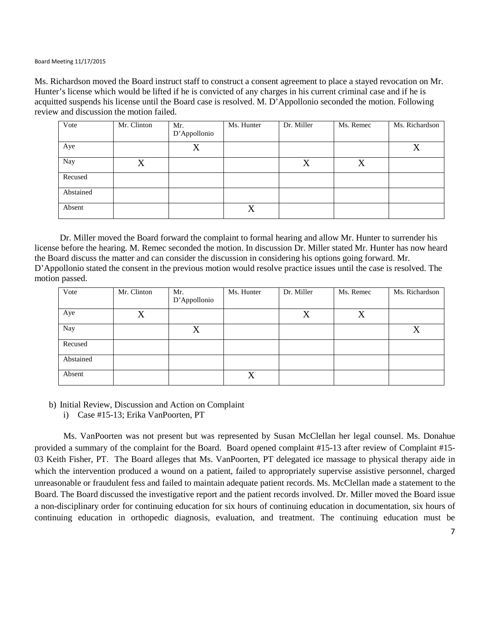Ms. Richardson moved the Board instruct staff to construct a consent agreement to place a stayed revocation on Mr. Hunter's license which would be lifted if he is convicted of any charges in his current criminal case and if he is acquitted suspends his license until the Board case is resolved. M. D'Appollonio seconded the motion. Following review and discussion the motion failed.

| Vote      | Mr. Clinton | Mr.          | Ms. Hunter | Dr. Miller | Ms. Remec | Ms. Richardson |
|-----------|-------------|--------------|------------|------------|-----------|----------------|
|           |             | D'Appollonio |            |            |           |                |
| Aye       |             | X            |            |            |           | Χ              |
| Nay       | X           |              |            | X          | X         |                |
| Recused   |             |              |            |            |           |                |
| Abstained |             |              |            |            |           |                |
| Absent    |             |              | X          |            |           |                |

Dr. Miller moved the Board forward the complaint to formal hearing and allow Mr. Hunter to surrender his license before the hearing. M. Remec seconded the motion. In discussion Dr. Miller stated Mr. Hunter has now heard the Board discuss the matter and can consider the discussion in considering his options going forward. Mr. D'Appollonio stated the consent in the previous motion would resolve practice issues until the case is resolved. The motion passed.

| Vote      | Mr. Clinton | Mr.          | Ms. Hunter | Dr. Miller | Ms. Remec | Ms. Richardson |
|-----------|-------------|--------------|------------|------------|-----------|----------------|
|           |             | D'Appollonio |            |            |           |                |
| Aye       | X           |              |            | X          | X         |                |
| Nay       |             | X            |            |            |           | X              |
| Recused   |             |              |            |            |           |                |
| Abstained |             |              |            |            |           |                |
| Absent    |             |              | X          |            |           |                |

b) Initial Review, Discussion and Action on Complaint

i) Case #15-13; Erika VanPoorten, PT

Ms. VanPoorten was not present but was represented by Susan McClellan her legal counsel. Ms. Donahue provided a summary of the complaint for the Board. Board opened complaint #15-13 after review of Complaint #15- 03 Keith Fisher, PT. The Board alleges that Ms. VanPoorten, PT delegated ice massage to physical therapy aide in which the intervention produced a wound on a patient, failed to appropriately supervise assistive personnel, charged unreasonable or fraudulent fess and failed to maintain adequate patient records. Ms. McClellan made a statement to the Board. The Board discussed the investigative report and the patient records involved. Dr. Miller moved the Board issue a non-disciplinary order for continuing education for six hours of continuing education in documentation, six hours of continuing education in orthopedic diagnosis, evaluation, and treatment. The continuing education must be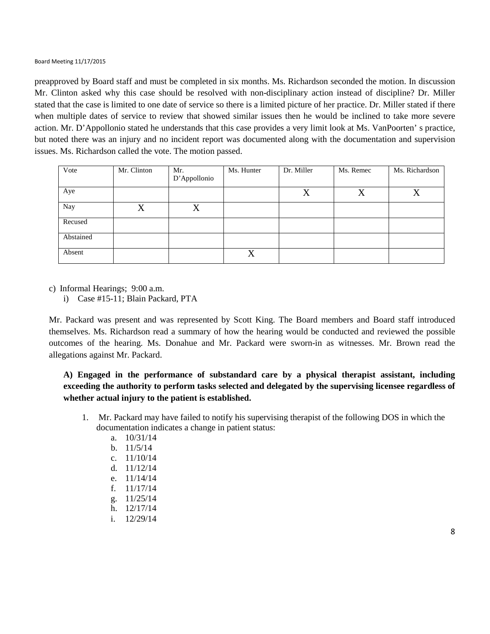preapproved by Board staff and must be completed in six months. Ms. Richardson seconded the motion. In discussion Mr. Clinton asked why this case should be resolved with non-disciplinary action instead of discipline? Dr. Miller stated that the case is limited to one date of service so there is a limited picture of her practice. Dr. Miller stated if there when multiple dates of service to review that showed similar issues then he would be inclined to take more severe action. Mr. D'Appollonio stated he understands that this case provides a very limit look at Ms. VanPoorten' s practice, but noted there was an injury and no incident report was documented along with the documentation and supervision issues. Ms. Richardson called the vote. The motion passed.

| Vote      | Mr. Clinton | Mr.          | Ms. Hunter | Dr. Miller | Ms. Remec | Ms. Richardson |
|-----------|-------------|--------------|------------|------------|-----------|----------------|
|           |             | D'Appollonio |            |            |           |                |
| Aye       |             |              |            | X          | X         | $\rm X$        |
| Nay       | X           | X            |            |            |           |                |
| Recused   |             |              |            |            |           |                |
| Abstained |             |              |            |            |           |                |
| Absent    |             |              | X          |            |           |                |

c) Informal Hearings; 9:00 a.m.

i) Case #15-11; Blain Packard, PTA

Mr. Packard was present and was represented by Scott King. The Board members and Board staff introduced themselves. Ms. Richardson read a summary of how the hearing would be conducted and reviewed the possible outcomes of the hearing. Ms. Donahue and Mr. Packard were sworn-in as witnesses. Mr. Brown read the allegations against Mr. Packard.

**A) Engaged in the performance of substandard care by a physical therapist assistant, including exceeding the authority to perform tasks selected and delegated by the supervising licensee regardless of whether actual injury to the patient is established.**

- 1. Mr. Packard may have failed to notify his supervising therapist of the following DOS in which the documentation indicates a change in patient status:
	- a. 10/31/14
	- b. 11/5/14
	- c. 11/10/14
	- d. 11/12/14
	- e. 11/14/14
	- f. 11/17/14
	- g. 11/25/14
	- h. 12/17/14
	- i. 12/29/14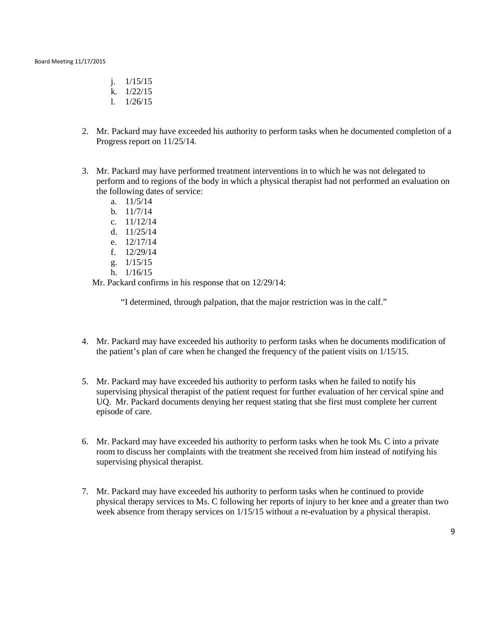- j. 1/15/15
- k. 1/22/15
- l. 1/26/15
- 2. Mr. Packard may have exceeded his authority to perform tasks when he documented completion of a Progress report on 11/25/14.
- 3. Mr. Packard may have performed treatment interventions in to which he was not delegated to perform and to regions of the body in which a physical therapist had not performed an evaluation on the following dates of service:
	- a. 11/5/14
	- b. 11/7/14
	- c. 11/12/14
	- d. 11/25/14
	- e. 12/17/14
	- f. 12/29/14
	- g. 1/15/15
	- h. 1/16/15

Mr. Packard confirms in his response that on 12/29/14:

"I determined, through palpation, that the major restriction was in the calf."

- 4. Mr. Packard may have exceeded his authority to perform tasks when he documents modification of the patient's plan of care when he changed the frequency of the patient visits on 1/15/15.
- 5. Mr. Packard may have exceeded his authority to perform tasks when he failed to notify his supervising physical therapist of the patient request for further evaluation of her cervical spine and UQ. Mr. Packard documents denying her request stating that she first must complete her current episode of care.
- 6. Mr. Packard may have exceeded his authority to perform tasks when he took Ms. C into a private room to discuss her complaints with the treatment she received from him instead of notifying his supervising physical therapist.
- 7. Mr. Packard may have exceeded his authority to perform tasks when he continued to provide physical therapy services to Ms. C following her reports of injury to her knee and a greater than two week absence from therapy services on  $1/15/15$  without a re-evaluation by a physical therapist.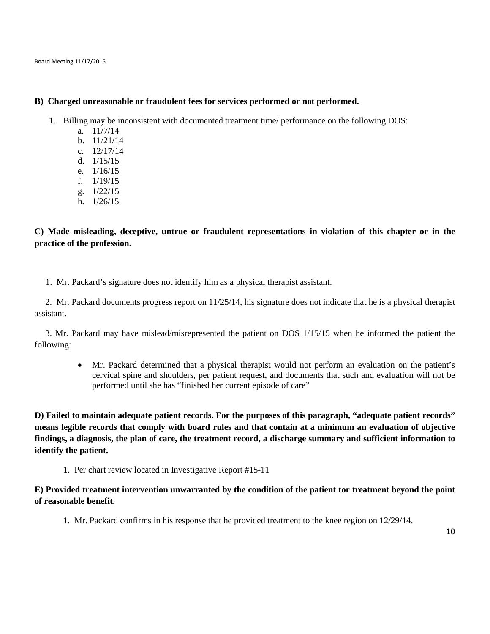#### **B) Charged unreasonable or fraudulent fees for services performed or not performed.**

- 1. Billing may be inconsistent with documented treatment time/ performance on the following DOS:
	- a. 11/7/14
	- b. 11/21/14
	- c. 12/17/14
	- d. 1/15/15
	- e. 1/16/15
	- f. 1/19/15
	- g. 1/22/15
	- h. 1/26/15

## **C) Made misleading, deceptive, untrue or fraudulent representations in violation of this chapter or in the practice of the profession.**

1. Mr. Packard's signature does not identify him as a physical therapist assistant.

2. Mr. Packard documents progress report on 11/25/14, his signature does not indicate that he is a physical therapist assistant.

3. Mr. Packard may have mislead/misrepresented the patient on DOS 1/15/15 when he informed the patient the following:

• Mr. Packard determined that a physical therapist would not perform an evaluation on the patient's cervical spine and shoulders, per patient request, and documents that such and evaluation will not be performed until she has "finished her current episode of care"

**D) Failed to maintain adequate patient records. For the purposes of this paragraph, "adequate patient records" means legible records that comply with board rules and that contain at a minimum an evaluation of objective findings, a diagnosis, the plan of care, the treatment record, a discharge summary and sufficient information to identify the patient.** 

1. Per chart review located in Investigative Report #15-11

## **E) Provided treatment intervention unwarranted by the condition of the patient tor treatment beyond the point of reasonable benefit.**

1. Mr. Packard confirms in his response that he provided treatment to the knee region on 12/29/14.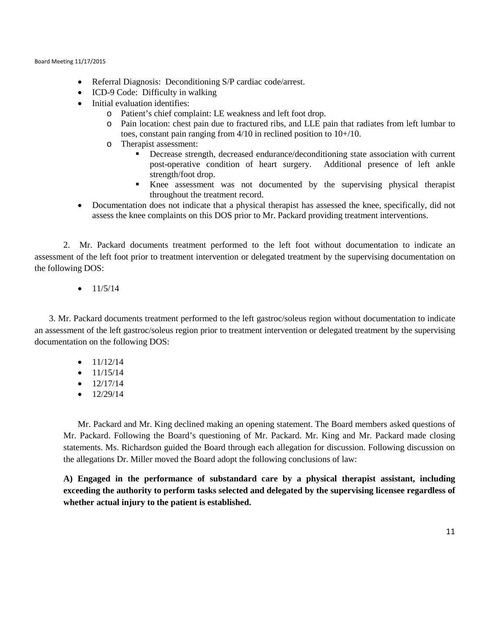- Referral Diagnosis: Deconditioning S/P cardiac code/arrest.
- ICD-9 Code: Difficulty in walking
- Initial evaluation identifies:
	- o Patient's chief complaint: LE weakness and left foot drop.
	- o Pain location: chest pain due to fractured ribs, and LLE pain that radiates from left lumbar to toes, constant pain ranging from 4/10 in reclined position to 10+/10.
	- o Therapist assessment:<br>■ Decrease streu
		- Decrease strength, decreased endurance/deconditioning state association with current post-operative condition of heart surgery. Additional presence of left ankle strength/foot drop.
		- Knee assessment was not documented by the supervising physical therapist throughout the treatment record.
- Documentation does not indicate that a physical therapist has assessed the knee, specifically, did not assess the knee complaints on this DOS prior to Mr. Packard providing treatment interventions.

2. Mr. Packard documents treatment performed to the left foot without documentation to indicate an assessment of the left foot prior to treatment intervention or delegated treatment by the supervising documentation on the following DOS:

 $\bullet$  11/5/14

3. Mr. Packard documents treatment performed to the left gastroc/soleus region without documentation to indicate an assessment of the left gastroc/soleus region prior to treatment intervention or delegated treatment by the supervising documentation on the following DOS:

- $\bullet$  11/12/14
- $\bullet$  11/15/14
- $\bullet$  12/17/14
- $\bullet$  12/29/14

Mr. Packard and Mr. King declined making an opening statement. The Board members asked questions of Mr. Packard. Following the Board's questioning of Mr. Packard. Mr. King and Mr. Packard made closing statements. Ms. Richardson guided the Board through each allegation for discussion. Following discussion on the allegations Dr. Miller moved the Board adopt the following conclusions of law:

**A) Engaged in the performance of substandard care by a physical therapist assistant, including exceeding the authority to perform tasks selected and delegated by the supervising licensee regardless of whether actual injury to the patient is established.**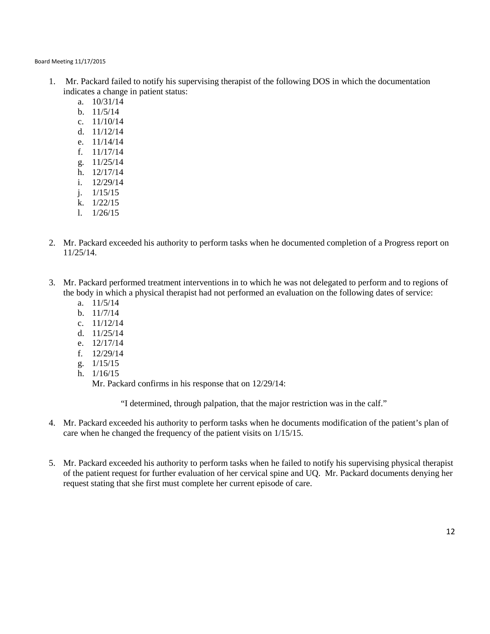- 1. Mr. Packard failed to notify his supervising therapist of the following DOS in which the documentation indicates a change in patient status:
	- a. 10/31/14
	- b. 11/5/14
	- c. 11/10/14
	- d. 11/12/14
	- e. 11/14/14
	- f. 11/17/14
	- g. 11/25/14
	- h. 12/17/14
	- i. 12/29/14
	- j. 1/15/15
	- k. 1/22/15
	- l. 1/26/15
- 2. Mr. Packard exceeded his authority to perform tasks when he documented completion of a Progress report on 11/25/14.
- 3. Mr. Packard performed treatment interventions in to which he was not delegated to perform and to regions of the body in which a physical therapist had not performed an evaluation on the following dates of service:
	- a. 11/5/14
	- b. 11/7/14
	- c. 11/12/14
	- d. 11/25/14
	- e. 12/17/14
	- f. 12/29/14
	- g. 1/15/15
	- h. 1/16/15

Mr. Packard confirms in his response that on 12/29/14:

"I determined, through palpation, that the major restriction was in the calf."

- 4. Mr. Packard exceeded his authority to perform tasks when he documents modification of the patient's plan of care when he changed the frequency of the patient visits on 1/15/15.
- 5. Mr. Packard exceeded his authority to perform tasks when he failed to notify his supervising physical therapist of the patient request for further evaluation of her cervical spine and UQ. Mr. Packard documents denying her request stating that she first must complete her current episode of care.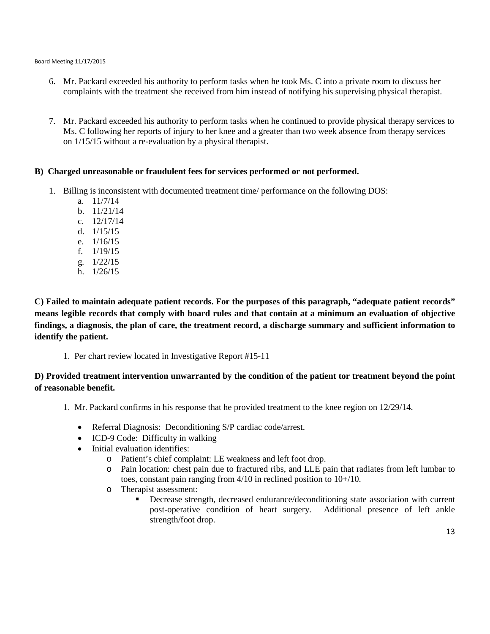- 6. Mr. Packard exceeded his authority to perform tasks when he took Ms. C into a private room to discuss her complaints with the treatment she received from him instead of notifying his supervising physical therapist.
- 7. Mr. Packard exceeded his authority to perform tasks when he continued to provide physical therapy services to Ms. C following her reports of injury to her knee and a greater than two week absence from therapy services on 1/15/15 without a re-evaluation by a physical therapist.

## **B) Charged unreasonable or fraudulent fees for services performed or not performed.**

- 1. Billing is inconsistent with documented treatment time/ performance on the following DOS:
	- a. 11/7/14
	- b. 11/21/14
	- c. 12/17/14
	- d. 1/15/15
	- e. 1/16/15
	- f. 1/19/15
	- g. 1/22/15
	- h. 1/26/15

**C) Failed to maintain adequate patient records. For the purposes of this paragraph, "adequate patient records" means legible records that comply with board rules and that contain at a minimum an evaluation of objective findings, a diagnosis, the plan of care, the treatment record, a discharge summary and sufficient information to identify the patient.** 

1. Per chart review located in Investigative Report #15-11

## **D) Provided treatment intervention unwarranted by the condition of the patient tor treatment beyond the point of reasonable benefit.**

- 1. Mr. Packard confirms in his response that he provided treatment to the knee region on 12/29/14.
	- Referral Diagnosis: Deconditioning S/P cardiac code/arrest.
	- ICD-9 Code: Difficulty in walking
	- Initial evaluation identifies:
		- o Patient's chief complaint: LE weakness and left foot drop.
		- o Pain location: chest pain due to fractured ribs, and LLE pain that radiates from left lumbar to toes, constant pain ranging from 4/10 in reclined position to 10+/10.
		- o Therapist assessment:
			- Decrease strength, decreased endurance/deconditioning state association with current post-operative condition of heart surgery. Additional presence of left ankle strength/foot drop.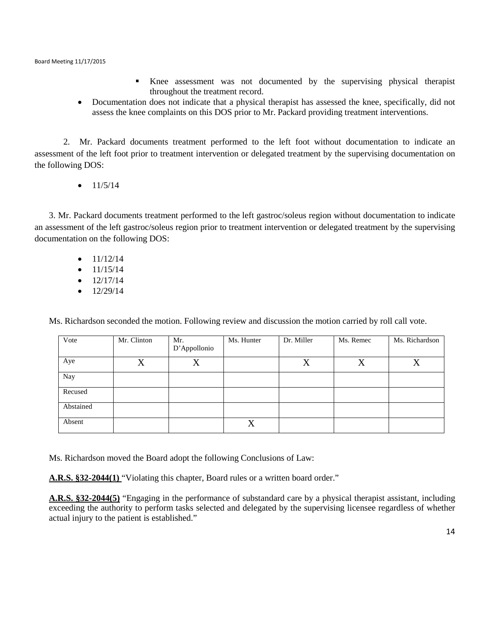- Knee assessment was not documented by the supervising physical therapist throughout the treatment record.
- Documentation does not indicate that a physical therapist has assessed the knee, specifically, did not assess the knee complaints on this DOS prior to Mr. Packard providing treatment interventions.

2. Mr. Packard documents treatment performed to the left foot without documentation to indicate an assessment of the left foot prior to treatment intervention or delegated treatment by the supervising documentation on the following DOS:

 $\bullet$  11/5/14

3. Mr. Packard documents treatment performed to the left gastroc/soleus region without documentation to indicate an assessment of the left gastroc/soleus region prior to treatment intervention or delegated treatment by the supervising documentation on the following DOS:

- $\bullet$  11/12/14
- $\bullet$  11/15/14
- $\bullet$  12/17/14
- $\bullet$  12/29/14

Ms. Richardson seconded the motion. Following review and discussion the motion carried by roll call vote.

| Vote      | Mr. Clinton | Mr.<br>D'Appollonio | Ms. Hunter | Dr. Miller | Ms. Remec | Ms. Richardson |
|-----------|-------------|---------------------|------------|------------|-----------|----------------|
| Aye       | X           | X                   |            | X          | X         | v              |
| Nay       |             |                     |            |            |           |                |
| Recused   |             |                     |            |            |           |                |
| Abstained |             |                     |            |            |           |                |
| Absent    |             |                     | X          |            |           |                |

Ms. Richardson moved the Board adopt the following Conclusions of Law:

**A.R.S. §32-2044(1)** "Violating this chapter, Board rules or a written board order."

**A.R.S. §32-2044(5)** "Engaging in the performance of substandard care by a physical therapist assistant, including exceeding the authority to perform tasks selected and delegated by the supervising licensee regardless of whether actual injury to the patient is established."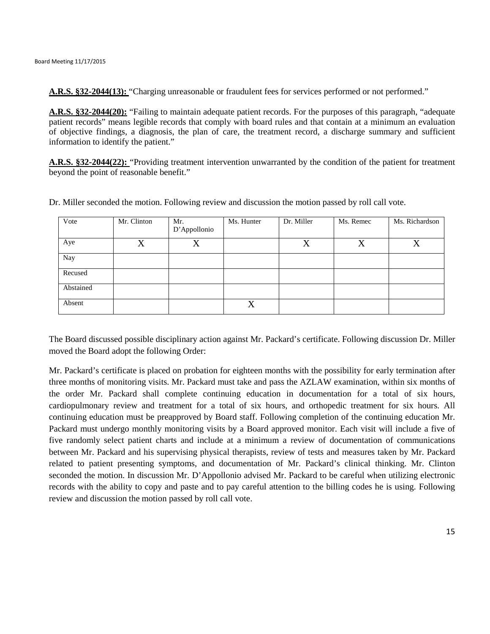**A.R.S. §32-2044(13):** "Charging unreasonable or fraudulent fees for services performed or not performed."

**A.R.S. §32-2044(20):** "Failing to maintain adequate patient records. For the purposes of this paragraph, "adequate patient records" means legible records that comply with board rules and that contain at a minimum an evaluation of objective findings, a diagnosis, the plan of care, the treatment record, a discharge summary and sufficient information to identify the patient."

**A.R.S. §32-2044(22):** "Providing treatment intervention unwarranted by the condition of the patient for treatment beyond the point of reasonable benefit."

| Vote      | Mr. Clinton | Mr.<br>D'Appollonio | Ms. Hunter | Dr. Miller | Ms. Remec | Ms. Richardson |
|-----------|-------------|---------------------|------------|------------|-----------|----------------|
| Aye       | X           | X                   |            | X          | X         | X              |
| Nay       |             |                     |            |            |           |                |
| Recused   |             |                     |            |            |           |                |
| Abstained |             |                     |            |            |           |                |
| Absent    |             |                     | X          |            |           |                |

Dr. Miller seconded the motion. Following review and discussion the motion passed by roll call vote.

The Board discussed possible disciplinary action against Mr. Packard's certificate. Following discussion Dr. Miller moved the Board adopt the following Order:

Mr. Packard's certificate is placed on probation for eighteen months with the possibility for early termination after three months of monitoring visits. Mr. Packard must take and pass the AZLAW examination, within six months of the order Mr. Packard shall complete continuing education in documentation for a total of six hours, cardiopulmonary review and treatment for a total of six hours, and orthopedic treatment for six hours. All continuing education must be preapproved by Board staff. Following completion of the continuing education Mr. Packard must undergo monthly monitoring visits by a Board approved monitor. Each visit will include a five of five randomly select patient charts and include at a minimum a review of documentation of communications between Mr. Packard and his supervising physical therapists, review of tests and measures taken by Mr. Packard related to patient presenting symptoms, and documentation of Mr. Packard's clinical thinking. Mr. Clinton seconded the motion. In discussion Mr. D'Appollonio advised Mr. Packard to be careful when utilizing electronic records with the ability to copy and paste and to pay careful attention to the billing codes he is using. Following review and discussion the motion passed by roll call vote.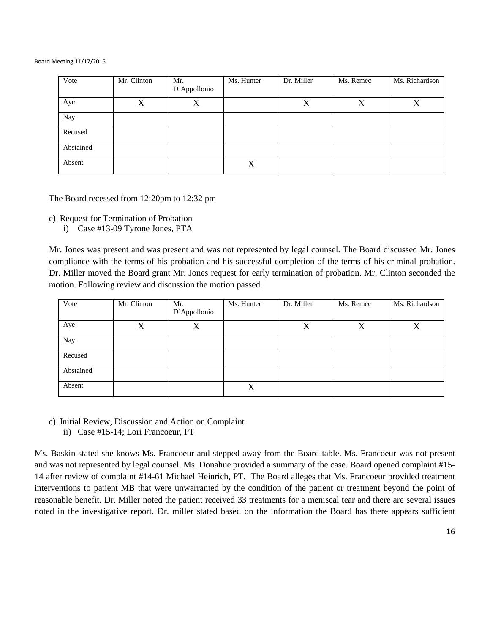| Vote      | Mr. Clinton | Mr.<br>D'Appollonio | Ms. Hunter | Dr. Miller | Ms. Remec | Ms. Richardson |
|-----------|-------------|---------------------|------------|------------|-----------|----------------|
|           |             |                     |            |            |           |                |
| Aye       | X           | X                   |            | X          | X         | X              |
| Nay       |             |                     |            |            |           |                |
| Recused   |             |                     |            |            |           |                |
| Abstained |             |                     |            |            |           |                |
| Absent    |             |                     | X          |            |           |                |

The Board recessed from 12:20pm to 12:32 pm

e) Request for Termination of Probation

i) Case #13-09 Tyrone Jones, PTA

Mr. Jones was present and was present and was not represented by legal counsel. The Board discussed Mr. Jones compliance with the terms of his probation and his successful completion of the terms of his criminal probation. Dr. Miller moved the Board grant Mr. Jones request for early termination of probation. Mr. Clinton seconded the motion. Following review and discussion the motion passed.

| Vote      | Mr. Clinton | Mr.<br>D'Appollonio | Ms. Hunter | Dr. Miller | Ms. Remec | Ms. Richardson |
|-----------|-------------|---------------------|------------|------------|-----------|----------------|
| Aye       | X           | X                   |            | X          | X         | v              |
| Nay       |             |                     |            |            |           |                |
| Recused   |             |                     |            |            |           |                |
| Abstained |             |                     |            |            |           |                |
| Absent    |             |                     | X          |            |           |                |

c) Initial Review, Discussion and Action on Complaint ii) Case #15-14; Lori Francoeur, PT

Ms. Baskin stated she knows Ms. Francoeur and stepped away from the Board table. Ms. Francoeur was not present and was not represented by legal counsel. Ms. Donahue provided a summary of the case. Board opened complaint #15- 14 after review of complaint #14-61 Michael Heinrich, PT. The Board alleges that Ms. Francoeur provided treatment interventions to patient MB that were unwarranted by the condition of the patient or treatment beyond the point of reasonable benefit. Dr. Miller noted the patient received 33 treatments for a meniscal tear and there are several issues noted in the investigative report. Dr. miller stated based on the information the Board has there appears sufficient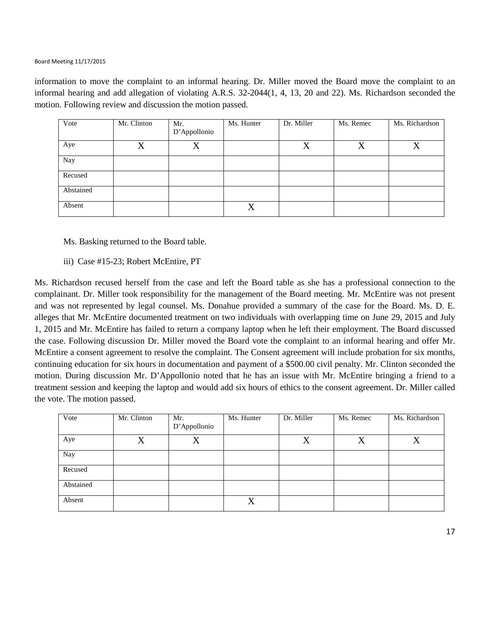information to move the complaint to an informal hearing. Dr. Miller moved the Board move the complaint to an informal hearing and add allegation of violating A.R.S. 32-2044(1, 4, 13, 20 and 22). Ms. Richardson seconded the motion. Following review and discussion the motion passed.

| Vote      | Mr. Clinton | Mr.<br>D'Appollonio | Ms. Hunter | Dr. Miller | Ms. Remec | Ms. Richardson |
|-----------|-------------|---------------------|------------|------------|-----------|----------------|
| Aye       | X           | X                   |            | X          | X         | X              |
| Nay       |             |                     |            |            |           |                |
| Recused   |             |                     |            |            |           |                |
| Abstained |             |                     |            |            |           |                |
| Absent    |             |                     | X          |            |           |                |

Ms. Basking returned to the Board table.

iii) Case #15-23; Robert McEntire, PT

Ms. Richardson recused herself from the case and left the Board table as she has a professional connection to the complainant. Dr. Miller took responsibility for the management of the Board meeting. Mr. McEntire was not present and was not represented by legal counsel. Ms. Donahue provided a summary of the case for the Board. Ms. D. E. alleges that Mr. McEntire documented treatment on two individuals with overlapping time on June 29, 2015 and July 1, 2015 and Mr. McEntire has failed to return a company laptop when he left their employment. The Board discussed the case. Following discussion Dr. Miller moved the Board vote the complaint to an informal hearing and offer Mr. McEntire a consent agreement to resolve the complaint. The Consent agreement will include probation for six months, continuing education for six hours in documentation and payment of a \$500.00 civil penalty. Mr. Clinton seconded the motion. During discussion Mr. D'Appollonio noted that he has an issue with Mr. McEntire bringing a friend to a treatment session and keeping the laptop and would add six hours of ethics to the consent agreement. Dr. Miller called the vote. The motion passed.

| Vote      | Mr. Clinton | Mr.<br>D'Appollonio | Ms. Hunter | Dr. Miller | Ms. Remec | Ms. Richardson |
|-----------|-------------|---------------------|------------|------------|-----------|----------------|
| Aye       | X           | X                   |            | X          | X         | X              |
| Nay       |             |                     |            |            |           |                |
| Recused   |             |                     |            |            |           |                |
| Abstained |             |                     |            |            |           |                |
| Absent    |             |                     | X          |            |           |                |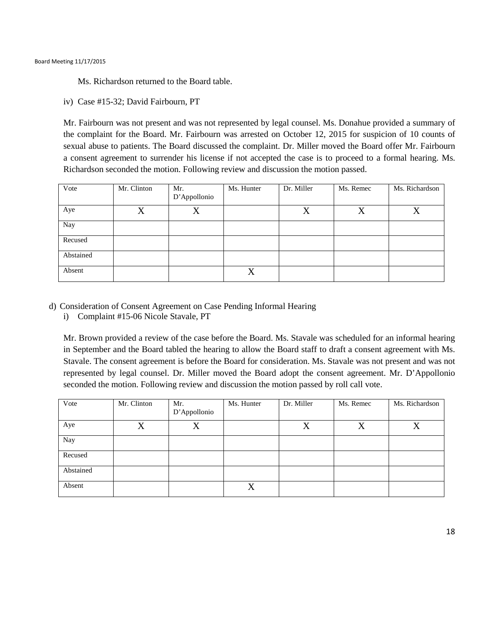Ms. Richardson returned to the Board table.

iv) Case #15-32; David Fairbourn, PT

Mr. Fairbourn was not present and was not represented by legal counsel. Ms. Donahue provided a summary of the complaint for the Board. Mr. Fairbourn was arrested on October 12, 2015 for suspicion of 10 counts of sexual abuse to patients. The Board discussed the complaint. Dr. Miller moved the Board offer Mr. Fairbourn a consent agreement to surrender his license if not accepted the case is to proceed to a formal hearing. Ms. Richardson seconded the motion. Following review and discussion the motion passed.

| Vote      | Mr. Clinton | Mr.<br>D'Appollonio | Ms. Hunter | Dr. Miller | Ms. Remec | Ms. Richardson |
|-----------|-------------|---------------------|------------|------------|-----------|----------------|
| Aye       | X           | X                   |            | X          | X         | X              |
| Nay       |             |                     |            |            |           |                |
| Recused   |             |                     |            |            |           |                |
| Abstained |             |                     |            |            |           |                |
| Absent    |             |                     | X          |            |           |                |

- d) Consideration of Consent Agreement on Case Pending Informal Hearing
	- i) Complaint #15-06 Nicole Stavale, PT

Mr. Brown provided a review of the case before the Board. Ms. Stavale was scheduled for an informal hearing in September and the Board tabled the hearing to allow the Board staff to draft a consent agreement with Ms. Stavale. The consent agreement is before the Board for consideration. Ms. Stavale was not present and was not represented by legal counsel. Dr. Miller moved the Board adopt the consent agreement. Mr. D'Appollonio seconded the motion. Following review and discussion the motion passed by roll call vote.

| Vote      | Mr. Clinton | Mr.<br>D'Appollonio | Ms. Hunter | Dr. Miller | Ms. Remec | Ms. Richardson |
|-----------|-------------|---------------------|------------|------------|-----------|----------------|
| Aye       | X           | X                   |            | $\rm X$    | X         | X              |
| Nay       |             |                     |            |            |           |                |
| Recused   |             |                     |            |            |           |                |
| Abstained |             |                     |            |            |           |                |
| Absent    |             |                     | X          |            |           |                |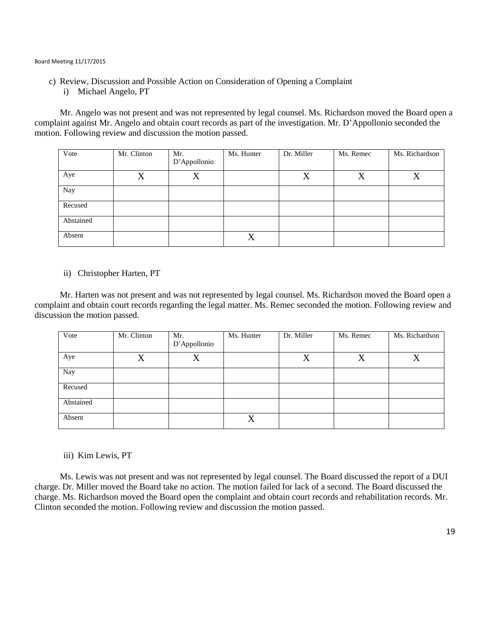- c) Review, Discussion and Possible Action on Consideration of Opening a Complaint
	- i) Michael Angelo, PT

Mr. Angelo was not present and was not represented by legal counsel. Ms. Richardson moved the Board open a complaint against Mr. Angelo and obtain court records as part of the investigation. Mr. D'Appollonio seconded the motion. Following review and discussion the motion passed.

| Vote      | Mr. Clinton | Mr.          | Ms. Hunter | Dr. Miller | Ms. Remec | Ms. Richardson |
|-----------|-------------|--------------|------------|------------|-----------|----------------|
|           |             | D'Appollonio |            |            |           |                |
| Aye       | X           | X            |            | X          | X         | X              |
| Nay       |             |              |            |            |           |                |
| Recused   |             |              |            |            |           |                |
| Abstained |             |              |            |            |           |                |
| Absent    |             |              | X          |            |           |                |

### ii) Christopher Harten, PT

Mr. Harten was not present and was not represented by legal counsel. Ms. Richardson moved the Board open a complaint and obtain court records regarding the legal matter. Ms. Remec seconded the motion. Following review and discussion the motion passed.

| Vote      | Mr. Clinton | Mr.<br>D'Appollonio | Ms. Hunter | Dr. Miller | Ms. Remec | Ms. Richardson |
|-----------|-------------|---------------------|------------|------------|-----------|----------------|
| Aye       | X           | X                   |            | X          | X         | $\rm X$        |
| Nay       |             |                     |            |            |           |                |
| Recused   |             |                     |            |            |           |                |
| Abstained |             |                     |            |            |           |                |
| Absent    |             |                     | X          |            |           |                |

iii) Kim Lewis, PT

Ms. Lewis was not present and was not represented by legal counsel. The Board discussed the report of a DUI charge. Dr. Miller moved the Board take no action. The motion failed for lack of a second. The Board discussed the charge. Ms. Richardson moved the Board open the complaint and obtain court records and rehabilitation records. Mr. Clinton seconded the motion. Following review and discussion the motion passed.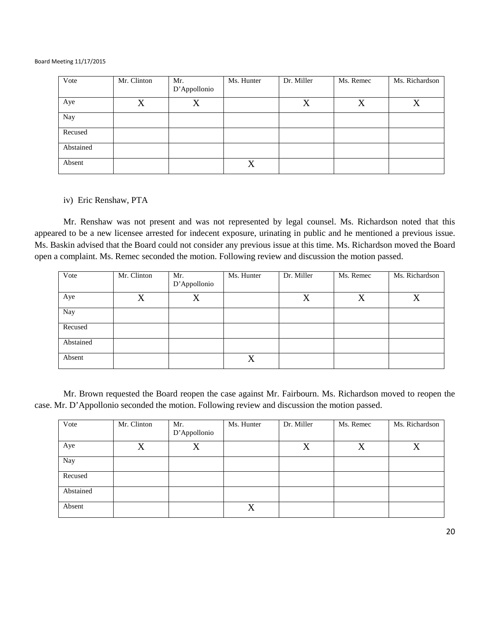| Vote      | Mr. Clinton | Mr.<br>D'Appollonio | Ms. Hunter | Dr. Miller | Ms. Remec | Ms. Richardson |
|-----------|-------------|---------------------|------------|------------|-----------|----------------|
| Aye       | X           | X                   |            | X          | X         | X              |
| Nay       |             |                     |            |            |           |                |
| Recused   |             |                     |            |            |           |                |
| Abstained |             |                     |            |            |           |                |
| Absent    |             |                     | X          |            |           |                |

#### iv) Eric Renshaw, PTA

Mr. Renshaw was not present and was not represented by legal counsel. Ms. Richardson noted that this appeared to be a new licensee arrested for indecent exposure, urinating in public and he mentioned a previous issue. Ms. Baskin advised that the Board could not consider any previous issue at this time. Ms. Richardson moved the Board open a complaint. Ms. Remec seconded the motion. Following review and discussion the motion passed.

| Vote      | Mr. Clinton | Mr.<br>D'Appollonio | Ms. Hunter | Dr. Miller | Ms. Remec | Ms. Richardson |
|-----------|-------------|---------------------|------------|------------|-----------|----------------|
| Aye       | X           | X                   |            | X          | X         | X              |
| Nay       |             |                     |            |            |           |                |
| Recused   |             |                     |            |            |           |                |
| Abstained |             |                     |            |            |           |                |
| Absent    |             |                     | X          |            |           |                |

Mr. Brown requested the Board reopen the case against Mr. Fairbourn. Ms. Richardson moved to reopen the case. Mr. D'Appollonio seconded the motion. Following review and discussion the motion passed.

| Vote      | Mr. Clinton | Mr.          | Ms. Hunter | Dr. Miller | Ms. Remec | Ms. Richardson |
|-----------|-------------|--------------|------------|------------|-----------|----------------|
|           |             |              |            |            |           |                |
|           |             | D'Appollonio |            |            |           |                |
|           |             |              |            |            |           |                |
| Aye       | X           | X            |            | X          | X         | X              |
|           |             |              |            |            |           |                |
|           |             |              |            |            |           |                |
| Nay       |             |              |            |            |           |                |
|           |             |              |            |            |           |                |
|           |             |              |            |            |           |                |
| Recused   |             |              |            |            |           |                |
|           |             |              |            |            |           |                |
| Abstained |             |              |            |            |           |                |
|           |             |              |            |            |           |                |
|           |             |              |            |            |           |                |
| Absent    |             |              | X          |            |           |                |
|           |             |              |            |            |           |                |
|           |             |              |            |            |           |                |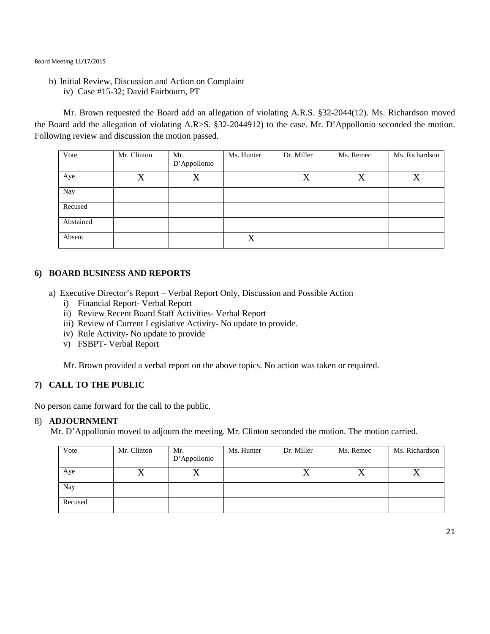b) Initial Review, Discussion and Action on Complaint iv) Case #15-32; David Fairbourn, PT

Mr. Brown requested the Board add an allegation of violating A.R.S. §32-2044(12). Ms. Richardson moved the Board add the allegation of violating A.R>S. §32-2044912) to the case. Mr. D'Appollonio seconded the motion. Following review and discussion the motion passed.

| Vote      | Mr. Clinton       | Mr.<br>D'Appollonio | Ms. Hunter | Dr. Miller | Ms. Remec | Ms. Richardson |
|-----------|-------------------|---------------------|------------|------------|-----------|----------------|
| Aye       | $\rm\overline{X}$ | X                   |            | X          | X         | $\rm X$        |
| Nay       |                   |                     |            |            |           |                |
| Recused   |                   |                     |            |            |           |                |
| Abstained |                   |                     |            |            |           |                |
| Absent    |                   |                     | X          |            |           |                |

## **6) BOARD BUSINESS AND REPORTS**

- a) Executive Director's Report Verbal Report Only, Discussion and Possible Action
	- i) Financial Report- Verbal Report
	- ii) Review Recent Board Staff Activities- Verbal Report
	- iii) Review of Current Legislative Activity- No update to provide.
	- iv) Rule Activity- No update to provide
	- v) FSBPT- Verbal Report

Mr. Brown provided a verbal report on the above topics. No action was taken or required.

## **7) CALL TO THE PUBLIC**

No person came forward for the call to the public.

#### 8) **ADJOURNMENT**

Mr. D'Appollonio moved to adjourn the meeting. Mr. Clinton seconded the motion. The motion carried.

| Vote    | Mr. Clinton | Mr.<br>D'Appollonio | Ms. Hunter | Dr. Miller | Ms. Remec | Ms. Richardson |
|---------|-------------|---------------------|------------|------------|-----------|----------------|
| Aye     |             | 73                  |            | $\Lambda$  |           |                |
| Nay     |             |                     |            |            |           |                |
| Recused |             |                     |            |            |           |                |